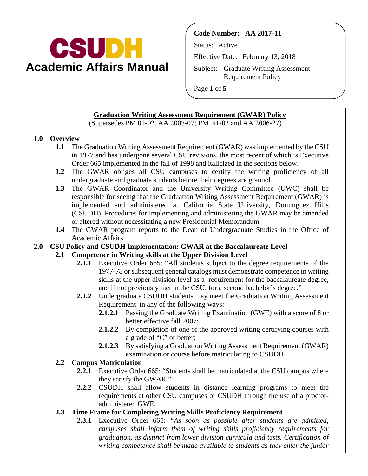

**Code Number: AA 2017-11**

Status: Active

Effective Date: February 13, 2018

Subject: Graduate Writing Assessment Requirement Policy

Page **1** of **5**

### **Graduation Writing Assessment Requirement (GWAR) Policy**

(Supersedes PM 01-02, AA 2007-07; PM 91-03 and AA 2006-27)

### **1.0 Overview**

- **1.1** The Graduation Writing Assessment Requirement (GWAR) was implemented by the CSU in 1977 and has undergone several CSU revisions, the most recent of which is Executive Order 665 implemented in the fall of 1998 and italicized in the sections below.
- **1.2** The GWAR obliges all CSU campuses to certify the writing proficiency of all undergraduate and graduate students before their degrees are granted.
- **1.3** The GWAR Coordinator and the University Writing Committee (UWC) shall be responsible for seeing that the Graduation Writing Assessment Requirement (GWAR) is implemented and administered at California State University, Dominguez Hills (CSUDH). Procedures for implementing and administering the GWAR may be amended or altered without necessitating a new Presidential Memorandum.
- **1.4** The GWAR program reports to the Dean of Undergraduate Studies in the Office of Academic Affairs.

### **2.0 CSU Policy and CSUDH Implementation: GWAR at the Baccalaureate Level**

### **2.1 Competence in Writing skills at the Upper Division Level**

- **2.1.1** Executive Order 665: "All students subject to the degree requirements of the 1977-78 or subsequent general catalogs must demonstrate competence in writing skills at the upper division level as a requirement for the baccalaureate degree, and if not previously met in the CSU, for a second bachelor's degree."
- **2.1.2** Undergraduate CSUDH students may meet the Graduation Writing Assessment Requirement in any of the following ways:
	- **2.1.2.1** Passing the Graduate Writing Examination (GWE) with a score of 8 or better effective fall 2007;
	- **2.1.2.2** By completion of one of the approved writing certifying courses with a grade of "C" or better;
	- **2.1.2.3** By satisfying a Graduation Writing Assessment Requirement (GWAR) examination or course before matriculating to CSUDH.

### **2.2 Campus Matriculation**

- **2.2.1** Executive Order 665: "Students shall be matriculated at the CSU campus where they satisfy the GWAR."
- **2.2.2** CSUDH shall allow students in distance learning programs to meet the requirements at other CSU campuses or CSUDH through the use of a proctoradministered GWE.

# **2.3 Time Frame for Completing Writing Skills Proficiency Requirement**

**2.3.1** Executive Order 665: *"As soon as possible after students are admitted, campuses shall inform them of writing skills proficiency requirements for graduation, as distinct from lower division curricula and tests. Certification of writing competence shall be made available to students as they enter the junior*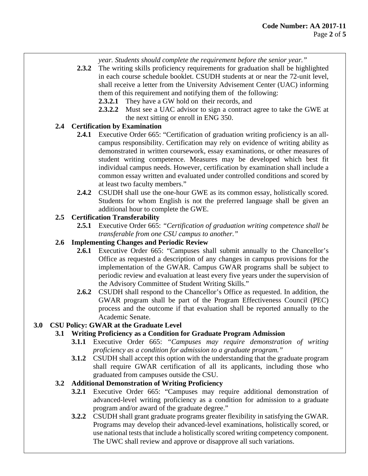*year. Students should complete the requirement before the senior year."*

- **2.3.2** The writing skills proficiency requirements for graduation shall be highlighted in each course schedule booklet. CSUDH students at or near the 72-unit level, shall receive a letter from the University Advisement Center (UAC) informing them of this requirement and notifying them of the following:
	- **2.3.2.1** They have a GW hold on their records, and
	- **2.3.2.2** Must see a UAC advisor to sign a contract agree to take the GWE at the next sitting or enroll in ENG 350.

## **2.4 Certification by Examination**

- **2.4.1** Executive Order 665: "Certification of graduation writing proficiency is an allcampus responsibility. Certification may rely on evidence of writing ability as demonstrated in written coursework, essay examinations, or other measures of student writing competence. Measures may be developed which best fit individual campus needs. However, certification by examination shall include a common essay written and evaluated under controlled conditions and scored by at least two faculty members."
- **2.4.2** CSUDH shall use the one-hour GWE as its common essay, holistically scored. Students for whom English is not the preferred language shall be given an additional hour to complete the GWE.

## **2.5 Certification Transferability**

**2.5.1** Executive Order 665: *"Certification of graduation writing competence shall be transferable from one CSU campus to another."*

### **2.6 Implementing Changes and Periodic Review**

- **2.6.1** Executive Order 665: "Campuses shall submit annually to the Chancellor's Office as requested a description of any changes in campus provisions for the implementation of the GWAR. Campus GWAR programs shall be subject to periodic review and evaluation at least every five years under the supervision of the Advisory Committee of Student Writing Skills."
- **2.6.2** CSUDH shall respond to the Chancellor's Office as requested. In addition, the GWAR program shall be part of the Program Effectiveness Council (PEC) process and the outcome if that evaluation shall be reported annually to the Academic Senate.

# **3.0 CSU Policy: GWAR at the Graduate Level**

### **3.1 Writing Proficiency as a Condition for Graduate Program Admission**

- **3.1.1** Executive Order 665: *"Campuses may require demonstration of writing proficiency as a condition for admission to a graduate program."*
- **3.1.2** CSUDH shall accept this option with the understanding that the graduate program shall require GWAR certification of all its applicants, including those who graduated from campuses outside the CSU.

### **3.2 Additional Demonstration of Writing Proficiency**

- **3.2.1** Executive Order 665: "Campuses may require additional demonstration of advanced-level writing proficiency as a condition for admission to a graduate program and/or award of the graduate degree."
- **3.2.2** CSUDH shall grant graduate programs greater flexibility in satisfying the GWAR. Programs may develop their advanced-level examinations, holistically scored, or use national tests that include a holistically scored writing competency component. The UWC shall review and approve or disapprove all such variations.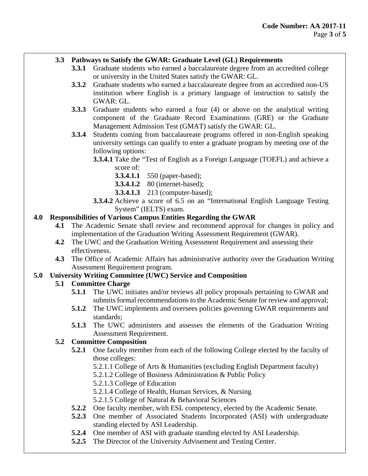### **3.3 Pathways to Satisfy the GWAR: Graduate Level (GL) Requirements**

- **3.3.1** Graduate students who earned a baccalaureate degree from an accredited college or university in the United States satisfy the GWAR: GL.
- **3.3.2** Graduate students who earned a baccalaureate degree from an accredited non-US institution where English is a primary language of instruction to satisfy the GWAR: GL.
- **3.3.3** Graduate students who earned a four (4) or above on the analytical writing component of the Graduate Record Examinations (GRE) or the Graduate Management Admission Test (GMAT) satisfy the GWAR: GL.
- **3.3.4** Students coming from baccalaureate programs offered in non-English speaking university settings can qualify to enter a graduate program by meeting one of the following options:
	- **3.3.4.1** Take the "Test of English as a Foreign Language (TOEFL) and achieve a score of:
		- **3.3.4.1.1** 550 (paper-based);
		- **3.3.4.1.2** 80 (internet-based);
		- **3.3.4.1.3** 213 (computer-based);
	- **3.3.4.2** Achieve a score of 6.5 on an "International English Language Testing System" (IELTS) exam.

## **4.0 Responsibilities of Various Campus Entities Regarding the GWAR**

- **4.1** The Academic Senate shall review and recommend approval for changes in policy and implementation of the Graduation Writing Assessment Requirement (GWAR).
- **4.2** The UWC and the Graduation Writing Assessment Requirement and assessing their effectiveness.
- **4.3** The Office of Academic Affairs has administrative authority over the Graduation Writing Assessment Requirement program.

### **5.0 University Writing Committee (UWC) Service and Composition**

### **5.1 Committee Charge**

- **5.1.1** The UWC initiates and/or reviews all policy proposals pertaining to GWAR and submits formal recommendations to the Academic Senate for review and approval;
- **5.1.2** The UWC implements and oversees policies governing GWAR requirements and standards;
- **5.1.3** The UWC administers and assesses the elements of the Graduation Writing Assessment Requirement.

### **5.2 Committee Composition**

- **5.2.1** One faculty member from each of the following College elected by the faculty of those colleges:
	- 5.2.1.1 College of Arts & Humanities (excluding English Department faculty)
	- 5.2.1.2 College of Business Administration & Public Policy
	- 5.2.1.3 College of Education
	- 5.2.1.4 College of Health, Human Services, & Nursing
	- 5.2.1.5 College of Natural & Behavioral Sciences
- **5.2.2** One faculty member, with ESL competency, elected by the Academic Senate.
- **5.2.3** One member of Associated Students Incorporated (ASI) with undergraduate standing elected by ASI Leadership.
- **5.2.4** One member of ASI with graduate standing elected by ASI Leadership.
- **5.2.5** The Director of the University Advisement and Testing Center.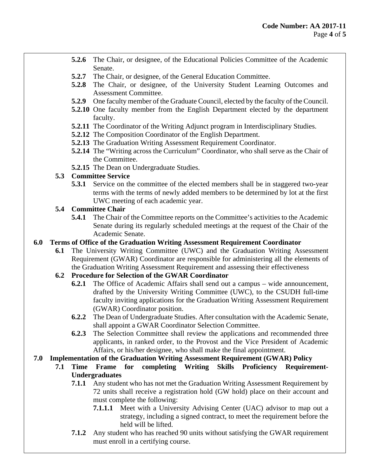- **5.2.6** The Chair, or designee, of the Educational Policies Committee of the Academic Senate.
- **5.2.7** The Chair, or designee, of the General Education Committee.
- **5.2.8** The Chair, or designee, of the University Student Learning Outcomes and Assessment Committee.
- **5.2.9** One faculty member of the Graduate Council, elected by the faculty of the Council.
- **5.2.10** One faculty member from the English Department elected by the department faculty.
- **5.2.11** The Coordinator of the Writing Adjunct program in Interdisciplinary Studies.
- **5.2.12** The Composition Coordinator of the English Department.
- **5.2.13** The Graduation Writing Assessment Requirement Coordinator.
- **5.2.14** The "Writing across the Curriculum" Coordinator, who shall serve as the Chair of the Committee.
- **5.2.15** The Dean on Undergraduate Studies.

# **5.3 Committee Service**

**5.3.1** Service on the committee of the elected members shall be in staggered two-year terms with the terms of newly added members to be determined by lot at the first UWC meeting of each academic year.

## **5.4 Committee Chair**

**5.4.1** The Chair of the Committee reports on the Committee's activities to the Academic Senate during its regularly scheduled meetings at the request of the Chair of the Academic Senate.

# **6.0 Terms of Office of the Graduation Writing Assessment Requirement Coordinator**

**6.1** The University Writing Committee (UWC) and the Graduation Writing Assessment Requirement (GWAR) Coordinator are responsible for administering all the elements of the Graduation Writing Assessment Requirement and assessing their effectiveness

# **6.2 Procedure for Selection of the GWAR Coordinator**

- **6.2.1** The Office of Academic Affairs shall send out a campus wide announcement, drafted by the University Writing Committee (UWC), to the CSUDH full-time faculty inviting applications for the Graduation Writing Assessment Requirement (GWAR) Coordinator position.
- **6.2.2** The Dean of Undergraduate Studies. After consultation with the Academic Senate, shall appoint a GWAR Coordinator Selection Committee.
- **6.2.3** The Selection Committee shall review the applications and recommended three applicants, in ranked order, to the Provost and the Vice President of Academic Affairs, or his/her designee, who shall make the final appointment.

# **7.0 Implementation of the Graduation Writing Assessment Requirement (GWAR) Policy**

- **7.1 Time Frame for completing Writing Skills Proficiency Requirement-Undergraduates**
	- **7.1.1** Any student who has not met the Graduation Writing Assessment Requirement by 72 units shall receive a registration hold (GW hold) place on their account and must complete the following:
		- **7.1.1.1** Meet with a University Advising Center (UAC) advisor to map out a strategy, including a signed contract, to meet the requirement before the held will be lifted.
	- **7.1.2** Any student who has reached 90 units without satisfying the GWAR requirement must enroll in a certifying course.